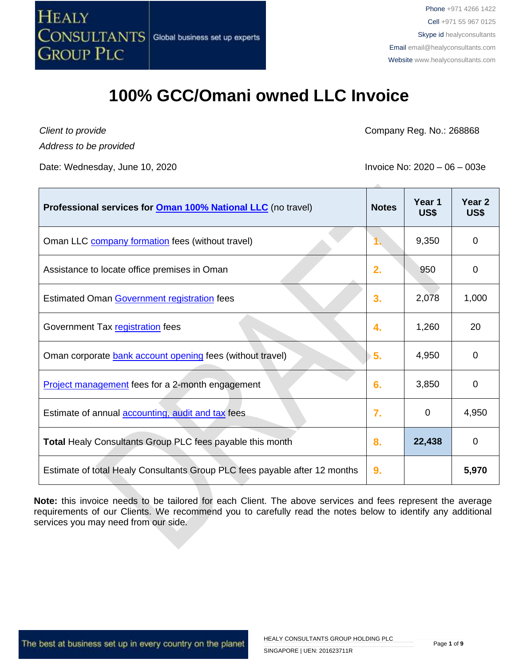

#### **100% GCC/Omani owned LLC Invoice**

*Client to provide Address to be provided*

Date: Wednesday, June 10, 2020 **Invoice No: 2020** – 06 – 003e

Company Reg. No.: 268868

| Professional services for <b>Oman 100% National LLC</b> (no travel)        | <b>Notes</b>   | Year 1<br>US\$ | Year <sub>2</sub><br>US\$ |
|----------------------------------------------------------------------------|----------------|----------------|---------------------------|
| Oman LLC company formation fees (without travel)                           | 1.             | 9,350          | 0                         |
| Assistance to locate office premises in Oman                               | 2.             | 950            | 0                         |
| Estimated Oman Government registration fees                                | 3.             | 2,078          | 1,000                     |
| Government Tax registration fees                                           | 4.             | 1,260          | 20                        |
| Oman corporate bank account opening fees (without travel)                  | Σ5.            | 4,950          | 0                         |
| Project management fees for a 2-month engagement                           | 6.             | 3,850          | 0                         |
| Estimate of annual <b>accounting</b> , audit and tax fees                  | $\mathbf{7}$ . | $\overline{0}$ | 4,950                     |
| <b>Total Healy Consultants Group PLC fees payable this month</b>           | 8.             | 22,438         | 0                         |
| Estimate of total Healy Consultants Group PLC fees payable after 12 months | 9.             |                | 5,970                     |

**Note:** this invoice needs to be tailored for each Client. The above services and fees represent the average requirements of our Clients. We recommend you to carefully read the notes below to identify any additional services you may need from our side.

The best at business set up in every country on the planet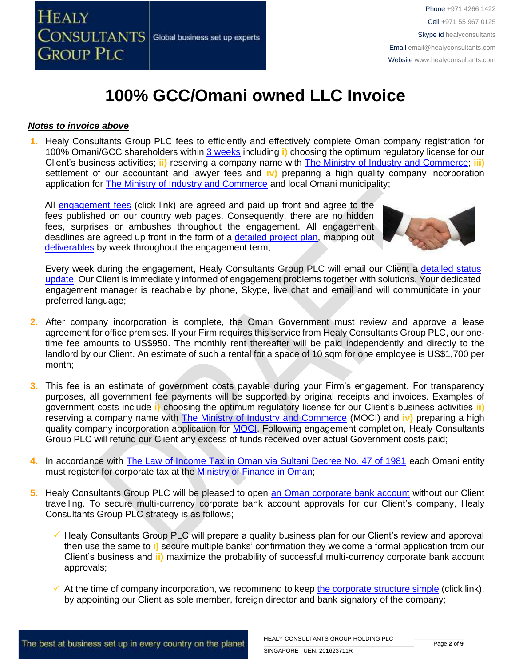

## **100% GCC/Omani owned LLC Invoice**

#### *Notes to invoice above*

**1.** Healy Consultants Group PLC fees to efficiently and effectively complete Oman company registration for 100% Omani/GCC shareholders within 3 [weeks](http://www.healyconsultants.com/oman-company-registration/fees-timelines/#timelines) including **i)** choosing the optimum regulatory license for our Client's business activities; **ii)** reserving a company name with [The Ministry of Industry and Commerce;](http://www.mocioman.gov.om/?lang=en-US) **iii)** settlement of our accountant and lawyer fees and **iv)** preparing a high quality company incorporation application for [The Ministry of Industry and Commerce](http://www.mocioman.gov.om/?lang=en-US) and local Omani municipality;

All [engagement fees](http://www.healyconsultants.com/company-registration-fees/) (click link) are agreed and paid up front and agree to the fees published on our country web pages. Consequently, there are no hidden fees, surprises or ambushes throughout the engagement. All engagement deadlines are agreed up front in the form of a [detailed project plan,](http://www.healyconsultants.com/index-important-links/example-project-plan/) mapping out [deliverables](http://www.healyconsultants.com/deliverables-to-our-clients/) by week throughout the engagement term;



Every week during the engagement, Healy Consultants Group PLC will email our Client a detailed status [update.](http://www.healyconsultants.com/index-important-links/weekly-engagement-status-email/) Our Client is immediately informed of engagement problems together with solutions. Your dedicated engagement manager is reachable by phone, Skype, live chat and email and will communicate in your preferred language;

- **2.** After company incorporation is complete, the Oman Government must review and approve a lease agreement for office premises. If your Firm requires this service from Healy Consultants Group PLC, our onetime fee amounts to US\$950. The monthly rent thereafter will be paid independently and directly to the landlord by our Client. An estimate of such a rental for a space of 10 sqm for one employee is US\$1,700 per month;
- **3.** This fee is an estimate of government costs payable during your Firm's engagement. For transparency purposes, all government fee payments will be supported by original receipts and invoices. Examples of government costs include **i)** choosing the optimum regulatory license for our Client's business activities **ii)** reserving a company name with [The Ministry of Industry and Commerce](http://www.mocioman.gov.om/?lang=en-US) (MOCI) and **iv)** preparing a high quality company incorporation application for [MOCI.](http://www.mocioman.gov.om/?lang=en-US) Following engagement completion, Healy Consultants Group PLC will refund our Client any excess of funds received over actual Government costs paid;
- **4.** In accordance with [The Law of Income Tax in Oman via Sultani Decree No. 47 of 1981](http://www.taxoman.gov.om/companies%20law%20in%20English.pdf) each Omani entity must register for corporate tax at the [Ministry of Finance in Oman;](http://www.taxoman.gov.om/company_tax.html#main-page)
- **5.** Healy Consultants Group PLC will be pleased to open [an Oman corporate bank account](http://www.healyconsultants.com/international-banking/) without our Client travelling. To secure multi-currency corporate bank account approvals for our Client's company, Healy Consultants Group PLC strategy is as follows;
	- ✓ Healy Consultants Group PLC will prepare a quality business plan for our Client's review and approval then use the same to **i)** secure multiple banks' confirmation they welcome a formal application from our Client's business and **ii)** maximize the probability of successful multi-currency corporate bank account approvals;
	- $\checkmark$  At the time of company incorporation, we recommend to keep [the corporate structure simple](https://www.healyconsultants.com/about-us/complex-client-engagements/simplify-business-setup/) (click link), by appointing our Client as sole member, foreign director and bank signatory of the company;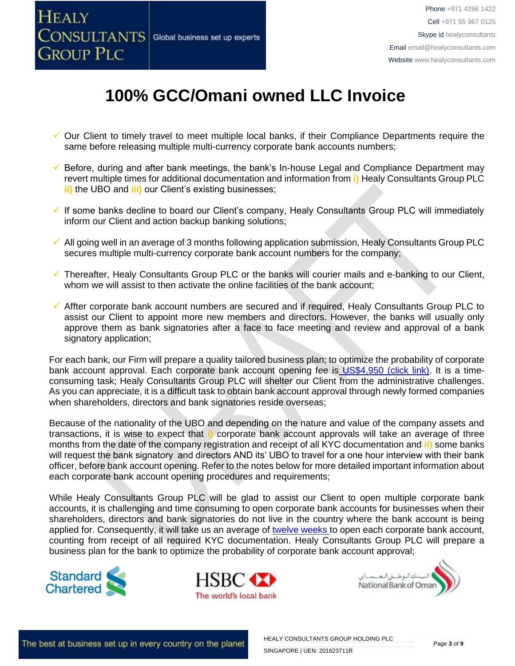

# **100% GCC/Omani owned LLC Invoice**

- ✓ Our Client to timely travel to meet multiple local banks, if their Compliance Departments require the same before releasing multiple multi-currency corporate bank accounts numbers;
- ✓ Before, during and after bank meetings, the bank's In-house Legal and Compliance Department may revert multiple times for additional documentation and information from **i)** Healy Consultants Group PLC **ii)** the UBO and **iii)** our Client's existing businesses;
- ✓ If some banks decline to board our Client's company, Healy Consultants Group PLC will immediately inform our Client and action backup banking solutions;
- $\checkmark$  All going well in an average of 3 months following application submission, Healy Consultants Group PLC secures multiple multi-currency corporate bank account numbers for the company;
- ✓ Thereafter, Healy Consultants Group PLC or the banks will courier mails and e-banking to our Client, whom we will assist to then activate the online facilities of the bank account;
- ✓ Affter corporate bank account numbers are secured and if required, Healy Consultants Group PLC to assist our Client to appoint more new members and directors. However, the banks will usually only approve them as bank signatories after a face to face meeting and review and approval of a bank signatory application;

For each bank, our Firm will prepare a quality tailored business plan; to optimize the probability of corporate bank account approval. Each corporate bank account opening fee is [US\\$4,950 \(click link\).](https://www.healyconsultants.com/global-corporate-banking-for-resident-company/) It is a timeconsuming task; Healy Consultants Group PLC will shelter our Client from the administrative challenges. As you can appreciate, it is a difficult task to obtain bank account approval through newly formed companies when shareholders, directors and bank signatories reside overseas;

Because of the nationality of the UBO and depending on the nature and value of the company assets and transactions, it is wise to expect that **i)** corporate bank account approvals will take an average of three months from the date of the company registration and receipt of all KYC documentation and **ii)** some banks will request the bank signatory and directors AND its' UBO to travel for a one hour interview with their bank officer, before bank account opening. Refer to the notes below for more detailed important information about each corporate bank account opening procedures and requirements;

While Healy Consultants Group PLC will be glad to assist our Client to open multiple corporate bank accounts, it is challenging and time consuming to open corporate bank accounts for businesses when their shareholders, directors and bank signatories do not live in the country where the bank account is being applied for. Consequently, it will take us an average of [twelve weeks](http://www.healyconsultants.com/international-banking/bitcoin-business-bank-account/) to open each corporate bank account, counting from receipt of all required KYC documentation. Healy Consultants Group PLC will prepare a business plan for the bank to optimize the probability of corporate bank account approval;





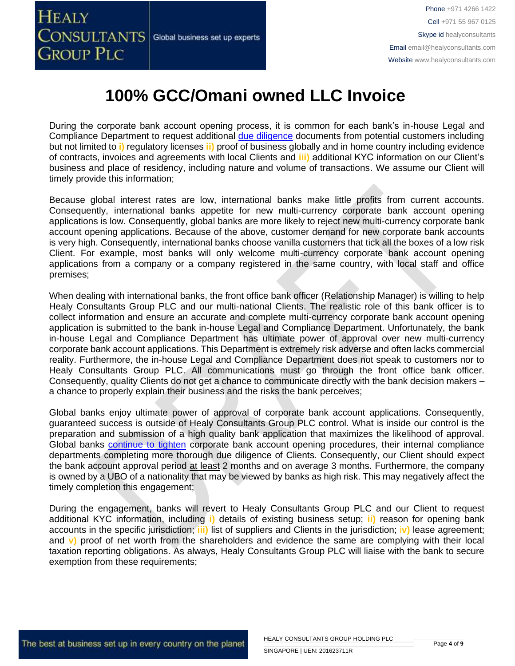

### **100% GCC/Omani owned LLC Invoice**

During the corporate bank account opening process, it is common for each bank's in-house Legal and Compliance Department to request additional [due diligence](http://www.healyconsultants.com/due-diligence/) documents from potential customers including but not limited to **i)** regulatory licenses **ii)** proof of business globally and in home country including evidence of contracts, invoices and agreements with local Clients and **iii)** additional KYC information on our Client's business and place of residency, including nature and volume of transactions. We assume our Client will timely provide this information;

Because global interest rates are low, international banks make little profits from current accounts. Consequently, international banks appetite for new multi-currency corporate bank account opening applications is low. Consequently, global banks are more likely to reject new multi-currency corporate bank account opening applications. Because of the above, customer demand for new corporate bank accounts is very high. Consequently, international banks choose vanilla customers that tick all the boxes of a low risk Client. For example, most banks will only welcome multi-currency corporate bank account opening applications from a company or a company registered in the same country, with local staff and office premises;

When dealing with international banks, the front office bank officer (Relationship Manager) is willing to help Healy Consultants Group PLC and our multi-national Clients. The realistic role of this bank officer is to collect information and ensure an accurate and complete multi-currency corporate bank account opening application is submitted to the bank in-house Legal and Compliance Department. Unfortunately, the bank in-house Legal and Compliance Department has ultimate power of approval over new multi-currency corporate bank account applications. This Department is extremely risk adverse and often lacks commercial reality. Furthermore, the in-house Legal and Compliance Department does not speak to customers nor to Healy Consultants Group PLC. All communications must go through the front office bank officer. Consequently, quality Clients do not get a chance to communicate directly with the bank decision makers – a chance to properly explain their business and the risks the bank perceives;

Global banks enjoy ultimate power of approval of corporate bank account applications. Consequently, guaranteed success is outside of Healy Consultants Group PLC control. What is inside our control is the preparation and submission of a high quality bank application that maximizes the likelihood of approval. Global banks [continue to tighten](https://www.healyconsultants.com/international-banking/opening-corporate-bank-accounts/) corporate bank account opening procedures, their internal compliance departments completing more thorough due diligence of Clients. Consequently, our Client should expect the bank account approval period at least 2 months and on average 3 months. Furthermore, the company is owned by a UBO of a nationality that may be viewed by banks as high risk. This may negatively affect the timely completion this engagement;

During the engagement, banks will revert to Healy Consultants Group PLC and our Client to request additional KYC information, including **i)** details of existing business setup; **ii)** reason for opening bank accounts in the specific jurisdiction; **iii)** list of suppliers and Clients in the jurisdiction; i**v)** lease agreement; and **v)** proof of net worth from the shareholders and evidence the same are complying with their local taxation reporting obligations. As always, Healy Consultants Group PLC will liaise with the bank to secure exemption from these requirements;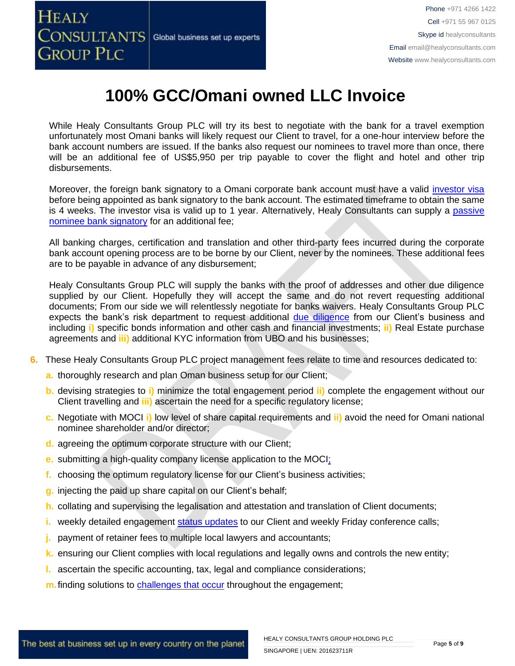

## **100% GCC/Omani owned LLC Invoice**

While Healy Consultants Group PLC will try its best to negotiate with the bank for a travel exemption unfortunately most Omani banks will likely request our Client to travel, for a one-hour interview before the bank account numbers are issued. If the banks also request our nominees to travel more than once, there will be an additional fee of US\$5,950 per trip payable to cover the flight and hotel and other trip disbursements.

Moreover, the foreign bank signatory to a Omani corporate bank account must have a valid [investor visa](https://www.healyconsultants.com/oman-company-registration/formation-support-services/) before being appointed as bank signatory to the bank account. The estimated timeframe to obtain the same is 4 weeks. The investor visa is valid up to 1 year. Alternatively, Healy Consultants can supply a passive [nominee bank signatory](http://www.healyconsultants.com/corporate-banking-services/nominee-bank-signatory/) for an additional fee;

All banking charges, certification and translation and other third-party fees incurred during the corporate bank account opening process are to be borne by our Client, never by the nominees. These additional fees are to be payable in advance of any disbursement;

Healy Consultants Group PLC will supply the banks with the proof of addresses and other due diligence supplied by our Client. Hopefully they will accept the same and do not revert requesting additional documents; From our side we will relentlessly negotiate for banks waivers. Healy Consultants Group PLC expects the bank's risk department to request additional [due diligence](http://www.healyconsultants.com/due-diligence/) from our Client's business and including **i)** specific bonds information and other cash and financial investments; **ii)** Real Estate purchase agreements and **iii)** additional KYC information from UBO and his businesses;

- **6.** These Healy Consultants Group PLC project management fees relate to time and resources dedicated to:
	- **a.** thoroughly research and plan Oman business setup for our Client;
	- **b.** devising strategies to **i)** minimize the total engagement period **ii)** complete the engagement without our Client travelling and **iii)** ascertain the need for a specific regulatory license;
	- **c.** Negotiate with MOCI **i)** low level of share capital requirements and **ii)** avoid the need for Omani national nominee shareholder and/or director;
	- **d.** agreeing the optimum corporate structure with our Client;
	- **e.** submitting a high-quality company license application to the MOCI;
	- **f.** choosing the optimum regulatory license for our Client's business activities;
	- **g.** injecting the paid up share capital on our Client's behalf;
	- **h.** collating and supervising the legalisation and attestation and translation of Client documents;
	- i. weekly detailed engagement [status updates](http://www.healyconsultants.com/index-important-links/weekly-engagement-status-email/) to our Client and weekly Friday conference calls;
	- **j.** payment of retainer fees to multiple local lawyers and accountants;
	- **k.** ensuring our Client complies with local regulations and legally owns and controls the new entity;
	- **l.** ascertain the specific accounting, tax, legal and compliance considerations;
	- **m.** finding solutions to [challenges that occur](http://www.healyconsultants.com/engagement-project-management/) throughout the engagement;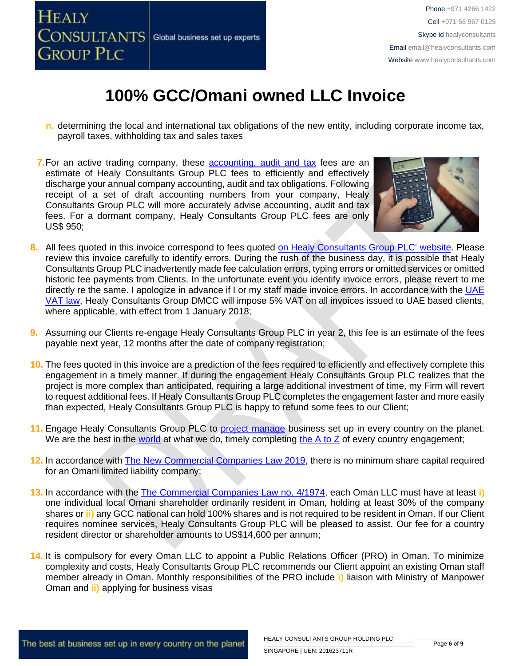

### **100% GCC/Omani owned LLC Invoice**

- **n.** determining the local and international tax obligations of the new entity, including corporate income tax, payroll taxes, withholding tax and sales taxes
- **7.**For an active trading company, these [accounting,](http://www.healyconsultants.com/oman-company-registration/accounting-legal/) audit and tax fees are an estimate of Healy Consultants Group PLC fees to efficiently and effectively discharge your annual company accounting, audit and tax obligations. Following receipt of a set of draft accounting numbers from your company, Healy Consultants Group PLC will more accurately advise accounting, audit and tax fees. For a dormant company, Healy Consultants Group PLC fees are only US\$ 950;



- **8.** All fees quoted in this invoice correspond to fees quoted [on Healy Consultants Group PLC' website.](http://www.healyconsultants.com/company-registration-fees/) Please review this invoice carefully to identify errors. During the rush of the business day, it is possible that Healy Consultants Group PLC inadvertently made fee calculation errors, typing errors or omitted services or omitted historic fee payments from Clients. In the unfortunate event you identify invoice errors, please revert to me directly re the same. I apologize in advance if I or my staff made invoice errors. In accordance with the [UAE](https://www.tax.gov.ae/legislation.aspx)  [VAT law,](https://www.tax.gov.ae/legislation.aspx) Healy Consultants Group DMCC will impose 5% VAT on all invoices issued to UAE based clients, where applicable, with effect from 1 January 2018;
- **9.** Assuming our Clients re-engage Healy Consultants Group PLC in year 2, this fee is an estimate of the fees payable next year, 12 months after the date of company registration;
- **10.** The fees quoted in this invoice are a prediction of the fees required to efficiently and effectively complete this engagement in a timely manner. If during the engagement Healy Consultants Group PLC realizes that the project is more complex than anticipated, requiring a large additional investment of time, my Firm will revert to request additional fees. If Healy Consultants Group PLC completes the engagement faster and more easily than expected, Healy Consultants Group PLC is happy to refund some fees to our Client;
- **11.** Engage Healy Consultants Group PLC to [project manage](http://www.healyconsultants.com/project-manage-engagements/) business set up in every country on the planet. We are the best in the [world](http://www.healyconsultants.com/best-in-the-world/) at what we do, timely completing the  $A$  to  $Z$  of every country engagement;
- **12.** In accordance with [The New Commercial Companies Law 2019,](http://mola.gov.om/eng/legislation/decrees/details.aspx?Id=548&type=L) there is no minimum share capital required for an Omani limited liability company;
- **13.** In accordance with the [The Commercial Companies Law no. 4/1974,](http://images.mofcom.gov.cn/om/table/gsf.pdf) each Oman LLC must have at least **i)** one individual local Omani shareholder ordinarily resident in Oman, holding at least 30% of the company shares or **ii)** any GCC national can hold 100% shares and is not required to be resident in Oman. If our Client requires nominee services, Healy Consultants Group PLC will be pleased to assist. Our fee for a country resident director or shareholder amounts to US\$14,600 per annum;
- **14.** It is compulsory for every Oman LLC to appoint a Public Relations Officer (PRO) in Oman. To minimize complexity and costs, Healy Consultants Group PLC recommends our Client appoint an existing Oman staff member already in Oman. Monthly responsibilities of the PRO include **i)** liaison with Ministry of Manpower Oman and **ii)** applying for business visas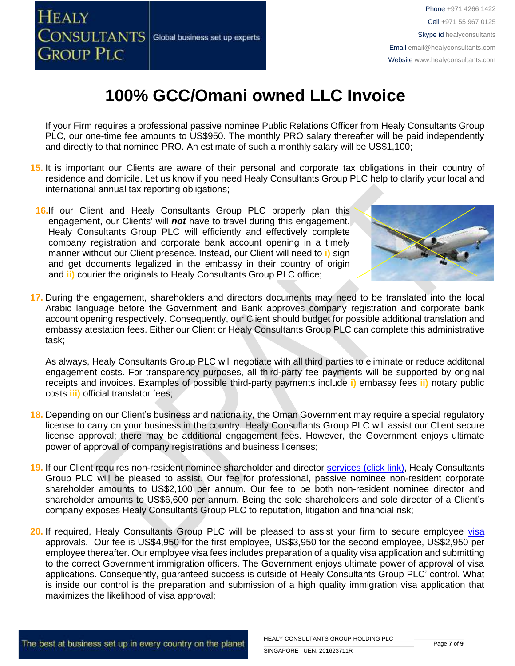

## **100% GCC/Omani owned LLC Invoice**

If your Firm requires a professional passive nominee Public Relations Officer from Healy Consultants Group PLC, our one-time fee amounts to US\$950. The monthly PRO salary thereafter will be paid independently and directly to that nominee PRO. An estimate of such a monthly salary will be US\$1,100;

- **15.** It is important our Clients are aware of their personal and corporate tax obligations in their country of residence and domicile. Let us know if you need Healy Consultants Group PLC help to clarify your local and international annual tax reporting obligations;
- **16.**If our Client and Healy Consultants Group PLC properly plan this engagement, our Clients' will *not* have to travel during this engagement. Healy Consultants Group PLC will efficiently and effectively complete company registration and corporate bank account opening in a timely manner without our Client presence. Instead, our Client will need to **i)** sign and get documents legalized in the embassy in their country of origin and **ii)** courier the originals to Healy Consultants Group PLC office;



**17.** During the engagement, shareholders and directors documents may need to be translated into the local Arabic language before the Government and Bank approves company registration and corporate bank account opening respectively. Consequently, our Client should budget for possible additional translation and embassy atestation fees. Either our Client or Healy Consultants Group PLC can complete this administrative task;

As always, Healy Consultants Group PLC will negotiate with all third parties to eliminate or reduce additonal engagement costs. For transparency purposes, all third-party fee payments will be supported by original receipts and invoices. Examples of possible third-party payments include **i)** embassy fees **ii)** notary public costs **iii)** official translator fees;

- **18.** Depending on our Client's business and nationality, the Oman Government may require a special regulatory license to carry on your business in the country. Healy Consultants Group PLC will assist our Client secure license approval; there may be additional engagement fees. However, the Government enjoys ultimate power of approval of company registrations and business licenses;
- 19. If our Client requires non-resident nominee shareholder and director services [\(click link\),](http://www.healyconsultants.com/corporate-outsourcing-services/nominee-shareholders-directors/) Healy Consultants Group PLC will be pleased to assist. Our fee for professional, passive nominee non-resident corporate shareholder amounts to US\$2,100 per annum. Our fee to be both non-resident nominee director and shareholder amounts to US\$6,600 per annum. Being the sole shareholders and sole director of a Client's company exposes Healy Consultants Group PLC to reputation, litigation and financial risk;
- 20. If required, Healy Consultants Group PLC will be pleased to assist your firm to secure employee [visa](http://www.healyconsultants.com/oman-company-registration/formation-support-services/) approvals. Our fee is US\$4,950 for the first employee, US\$3,950 for the second employee, US\$2,950 per employee thereafter. Our employee visa fees includes preparation of a quality visa application and submitting to the correct Government immigration officers. The Government enjoys ultimate power of approval of visa applications. Consequently, guaranteed success is outside of Healy Consultants Group PLC' control. What is inside our control is the preparation and submission of a high quality immigration visa application that maximizes the likelihood of visa approval;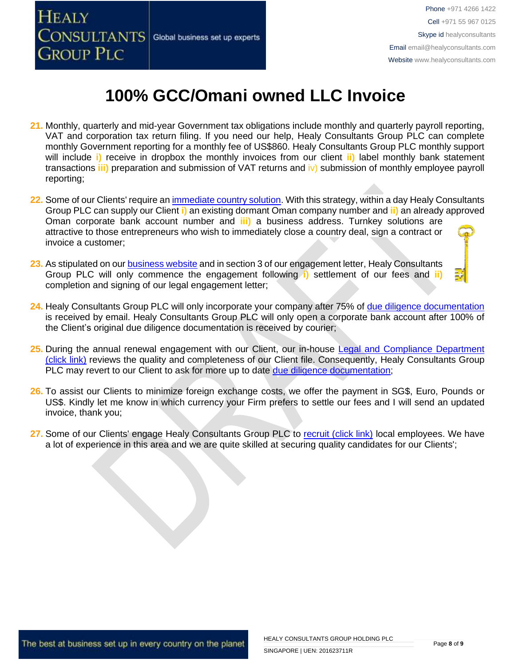

# **100% GCC/Omani owned LLC Invoice**

- **21.** Monthly, quarterly and mid-year Government tax obligations include monthly and quarterly payroll reporting, VAT and corporation tax return filing. If you need our help, Healy Consultants Group PLC can complete monthly Government reporting for a monthly fee of US\$860. Healy Consultants Group PLC monthly support will include **i)** receive in dropbox the monthly invoices from our client **ii)** label monthly bank statement transactions **iii)** preparation and submission of VAT returns and iv) submission of monthly employee payroll reporting;
- **22.** Some of our Clients' require a[n immediate country solution.](http://www.healyconsultants.com/turnkey-solutions/) With this strategy, within a day Healy Consultants Group PLC can supply our Client **i)** an existing dormant Oman company number and **ii)** an already approved Oman corporate bank account number and **iii)** a business address. Turnkey solutions are attractive to those entrepreneurs who wish to immediately close a country deal, sign a contract or invoice a customer;
- **23.** As stipulated on ou[r business website](http://www.healyconsultants.com/) and in section 3 of our engagement letter, Healy Consultants Group PLC will only commence the engagement following **i)** settlement of our fees and **ii)** completion and signing of our legal engagement letter;
- **24.** Healy Consultants Group PLC will only incorporate your company after 75% of [due diligence documentation](http://www.healyconsultants.com/due-diligence/) is received by email. Healy Consultants Group PLC will only open a corporate bank account after 100% of the Client's original due diligence documentation is received by courier;
- **25.** During the annual renewal engagement with our Client, our in-house [Legal and Compliance Department](http://www.healyconsultants.com/about-us/key-personnel/cai-xin-profile/)  [\(click link\)](http://www.healyconsultants.com/about-us/key-personnel/cai-xin-profile/) reviews the quality and completeness of our Client file. Consequently, Healy Consultants Group PLC may revert to our Client to ask for more up to date [due diligence documentation;](http://www.healyconsultants.com/due-diligence/)
- **26.** To assist our Clients to minimize foreign exchange costs, we offer the payment in SG\$, Euro, Pounds or US\$. Kindly let me know in which currency your Firm prefers to settle our fees and I will send an updated invoice, thank you;
- 27. Some of our Clients' engage Healy Consultants Group PLC to [recruit \(click link\)](http://www.healyconsultants.com/corporate-outsourcing-services/how-we-help-our-clients-recruit-quality-employees/) local employees. We have a lot of experience in this area and we are quite skilled at securing quality candidates for our Clients';